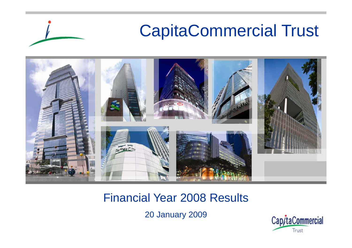

#### Financial Year 2008 Results

20 January 2009

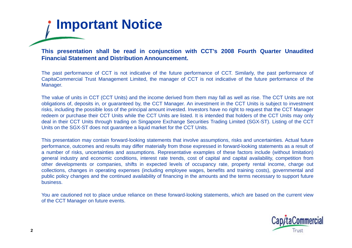

This presentation shall be read in conjunction with CCT's 2008 Fourth Quarter Unaudited **Financial Statement and Distribution Announcement.**

The past performance of CCT is not indicative of the future performance of CCT. Similarly, the past performance of CapitaCommercial Trust Management Limited, the manager of CCT is not indicative of the future performance of the Manager.

The value of units in CCT (CCT Units) and the income derived from them may fall as well as rise. The CCT Units are not obligations of, deposits in, or guaranteed by, the CCT Manager. An investment in the CCT Units is subject to investment risks, including the possible loss of the principal amount invested. Investors have no right to request that the CCT Manager redeem or purchase their CCT Units while the CCT Units are listed. It is intended that holders of the CCT Units may only deal in their CCT Units through trading on Singapore Exchange Securities Trading Limited (SGX-ST). Listing of the CCT Units on the SGX-ST does not guarantee <sup>a</sup> liquid market for the CCT Units.

This presentation may contain forward-looking statements that involve assumptions, risks and uncertainties. Actual future performance, outcomes and results may differ materially from those expressed in forward-looking statements as <sup>a</sup> result of a number of risks, uncertainties and assumptions. Representative examples of these factors include (without limitation) general industry and economic conditions, interest rate trends, cost of capital and capital availability, competition from other developments or companies, shifts in expected levels of occupancy rate, property rental income, charge out collections, changes in operating expenses (including employee wages, benefits and training costs), governmental and public policy changes and the continued availability of financing in the amounts and the terms necessary to support future business.

You are cautioned not to place undue reliance on these forward-looking statements, which are based on the current view of the CCT Manager on future events.

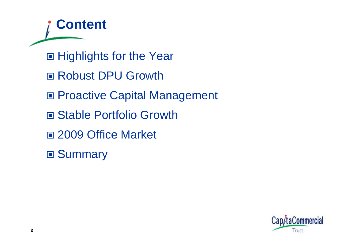**Content** ■ Highlights for the Year ■ Robust DPU Growth ■ Proactive Capital Management ■ Stable Portfolio Growth 2009 Office Market ■ Summary

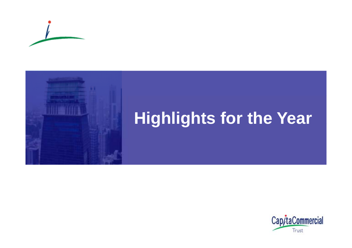



# **Hig g ts <sup>o</sup> t <sup>e</sup> ea hlights for the Year**

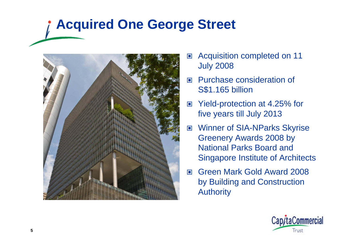### **Acquired One George Street**



- $\Box$  Acquisition completed on 11 July 2008
- $\Box$  Purchase consideration of S\$1.165 billion
- $\Box$  Yield-protection at 4.25% for five years till July 2013
- $\Box$ ■ Winner of SIA-NParks Skyrise Greenery Awards 2008 by National Parks Board and Singapore Institute of Architects
- $\Box$  Green Mark Gold Award 2008 by Building and Construction Authority

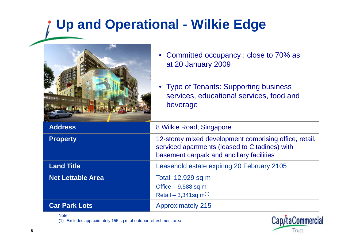### **Up and Operational - Wilkie Edge**



Note:

(1) Excludes approximately 155 sq m of outdoor refreshment area

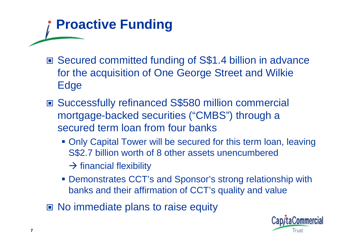# **Proactive Funding**

- Secured committed funding of S\$1.4 billion in advance for the acquisition of One George Street and Wilkie Edge
- Successfully refinanced S\$580 million commercial mortgage-backed securities ("CMBS") through a secured term loan from four banks
	- Only Capital Tower will be secured for this term loan, leaving S\$2.7 billion worth of 8 other assets unencumbered
		- $\rightarrow$  financial flexibility
	- **Demonstrates CCT's and Sponsor's strong relationship with** banks and their affirmation of CCT's quality and value
- No immediate plans to raise equity

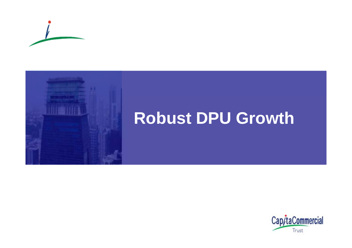



### **Robust U G o t DPU Growth**

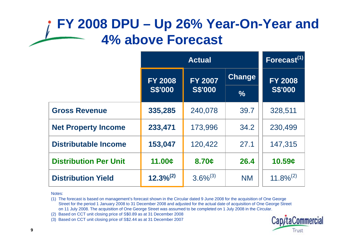#### **FY 2008 DPU – Up 26% Year-On-Year and 4% above Forecast**

|                              | <b>Actual</b>                    |                |               | $\overline{\mathsf{Forecast}}^{(1)}$ |
|------------------------------|----------------------------------|----------------|---------------|--------------------------------------|
|                              | <b>FY 2007</b><br><b>FY 2008</b> |                | Change        | <b>FY 2008</b>                       |
|                              | <b>S\$'000</b>                   | <b>S\$'000</b> | $\frac{9}{6}$ | <b>S\$'000</b>                       |
| <b>Gross Revenue</b>         | 335,285                          | 240,078        | 39.7          | 328,511                              |
| <b>Net Property Income</b>   | 233,471                          | 173,996        | 34.2          | 230,499                              |
| <b>Distributable Income</b>  | 153,047                          | 120,422        | 27.1          | 147,315                              |
| <b>Distribution Per Unit</b> | 11.00c                           | 8.70c          | 26.4          | 10.59c                               |
| <b>Distribution Yield</b>    | $12.3\%^{(2)}$                   | $3.6\%^{(3)}$  | <b>NM</b>     | $11.8\%^{(2)}$                       |

Notes:

(1) The forecast is based on management's forecast shown in the Circular dated 9 June 2008 for the acquisition of One George Street for the period 1 January 2008 to 31 December 2008 and adjusted for the actual date of acquisition of One George Street on 11 July 2008. The acquisition of One George Street was assumed to be completed on 1 July 2008 in the Circular.

(2) Based on CCT unit closing price of S\$0.89 as at 31 December 2008

(3) Based on CCT unit closing price of S\$2.44 as at 31 December 2007

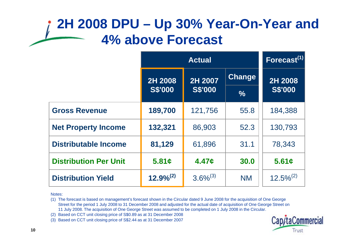#### **2H 2008 DPU – Up 30% Year-On-Year and 4% above Forecast**

|                              | <b>Actual</b>      |                |               | Forecast <sup>(1)</sup> |
|------------------------------|--------------------|----------------|---------------|-------------------------|
|                              | 2H 2007<br>2H 2008 |                | <b>Change</b> | 2H 2008                 |
|                              | <b>S\$'000</b>     | <b>S\$'000</b> | $\frac{6}{6}$ | <b>S\$'000</b>          |
| <b>Gross Revenue</b>         | 189,700            | 121,756        | 55.8          | 184,388                 |
| <b>Net Property Income</b>   | 132,321            | 86,903         | 52.3          | 130,793                 |
| <b>Distributable Income</b>  | 81,129             | 61,896         | 31.1          | 78,343                  |
| <b>Distribution Per Unit</b> | 5.81c              | 4.47c          | 30.0          | 5.61c                   |
| <b>Distribution Yield</b>    | $12.9\%^{(2)}$     | $3.6\%^{(3)}$  | <b>NM</b>     | $12.5\%^{(2)}$          |

Notes:

(1) The forecast is based on management's forecast shown in the Circular dated 9 June 2008 for the acquisition of One George Street for the period 1 July 2008 to 31 December 2008 and adjusted for the actual date of acquisition of One George Street on 11 July 2008. The acquisition of One George Street was assumed to be completed on 1 July 2008 in the Circular.

(2) Based on CCT unit closing price of S\$0.89 as at 31 December 2008

(3) Based on CCT unit closing price of S\$2.44 as at 31 December 2007

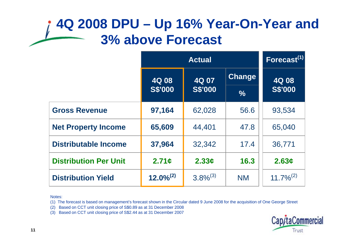#### **4Q 2008 DPU – Up 16% Year-On-Year and 3% above Forecast**

|                              | <b>Actual</b>  |                |               | Forecast <sup>(1)</sup> |
|------------------------------|----------------|----------------|---------------|-------------------------|
|                              | 4Q 07<br>4Q 08 |                | <b>Change</b> | 4Q 08                   |
|                              | <b>S\$'000</b> | <b>S\$'000</b> | $\frac{9}{6}$ | <b>S\$'000</b>          |
| <b>Gross Revenue</b>         | 97,164         | 62,028         | 56.6          | 93,534                  |
| <b>Net Property Income</b>   | 65,609         | 44,401         | 47.8          | 65,040                  |
| <b>Distributable Income</b>  | 37,964         | 32,342         | 17.4          | 36,771                  |
| <b>Distribution Per Unit</b> | 2.71c          | 2.33c          | 16.3          | 2.63c                   |
| <b>Distribution Yield</b>    | $12.0\%^{(2)}$ | $3.8\%^{(3)}$  | <b>NM</b>     | $11.7\%^{(2)}$          |

Notes:

(1) The forecast is based on management's forecast shown in the Circular dated 9 June 2008 for the acquisition of One George Street

(2) Based on CCT unit closing price of S\$0.89 as at 31 December 2008

(3) Based on CCT unit closing price of S\$2.44 as at 31 December 2007

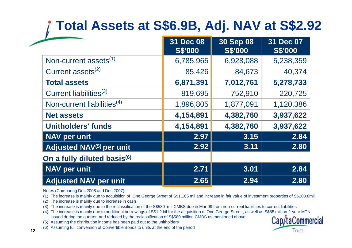### **Total Assets at S\$6.9B, Adj. NAV at S\$2.92**

|                                        | 31 Dec 08<br><b>S\$'000</b> | <b>30 Sep 08</b><br><b>S\$'000</b> | 31 Dec 07<br><b>S\$'000</b> |
|----------------------------------------|-----------------------------|------------------------------------|-----------------------------|
| Non-current assets <sup>(1)</sup>      | 6,785,965                   | 6,928,088                          | 5,238,359                   |
| Current assets <sup>(2)</sup>          | 85,426                      | 84,673                             | 40,374                      |
| <b>Total assets</b>                    | 6,871,391                   | 7,012,761                          | 5,278,733                   |
| Current liabilities <sup>(3)</sup>     | 819,695                     | 752,910                            | 220,725                     |
| Non-current liabilities <sup>(4)</sup> | 1,896,805                   | 1,877,091                          | 1,120,386                   |
| <b>Net assets</b>                      | 4,154,891                   | 4,382,760                          | 3,937,622                   |
| <b>Unitholders' funds</b>              | 4,154,891                   | 4,382,760                          | 3,937,622                   |
| <b>NAV per unit</b>                    | 2.97                        | 3.15                               | 2.84                        |
| Adjusted NAV <sup>(5)</sup> per unit   | 2.92                        | 3.11                               | 2.80                        |
| On a fully diluted basis(6)            |                             |                                    |                             |
| <b>NAV per unit</b>                    | 2.71                        | 3.01                               | 2.84                        |
| <b>Adjusted NAV per unit</b>           | 2.65                        | 2.94                               | 2.80                        |

Notes (Comparing Dec 2008 and Dec 2007):

(1) The increase is mainly due to acquisition of One George Street of S\$1,165 mil and increase in fair value of investment properties of S\$203.8mil.

(2) The increase is mainly due to increase in cash

(3) The increase is mainly due to the reclassification of the S\$580 mil CMBS due in Mar 09 from non-current liabilities to current liabilities

**2.80**<br>
Notes (Comparing Dec 2008 and Dec 2007):<br>
(1) The increase is mainly due to acquisition of One George Street of S\$1,165 mil and increase in fair value of investment properties of S\$203.<br>
(2) The increase is mainly (4) The increase is mainly due to additional borrowings of S\$1.2 bil for the acquisition of One George Street , as well as S\$85 million 2-year MTN issued during the quarter, and reduced by the reclassification of S\$580 million CMBS as mentioned above

(5) Assuming the distribution income has been paid out to the unitholders

(6) Assuming full conversion of Convertible Bonds to units at the end of the period

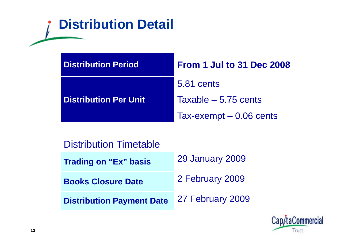### **Distribution Detail**

| <b>Distribution Period</b>   | <b>From 1 Jul to 31 Dec 2008</b> |
|------------------------------|----------------------------------|
|                              | <b>5.81 cents</b>                |
| <b>Distribution Per Unit</b> | Taxable $-5.75$ cents            |
|                              | Tax-exempt $-0.06$ cents         |

Distribution Timetable

| <b>Trading on "Ex" basis</b>     | <b>29 January 2009</b> |
|----------------------------------|------------------------|
| <b>Books Closure Date</b>        | 2 February 2009        |
| <b>Distribution Payment Date</b> | 27 February 2009       |

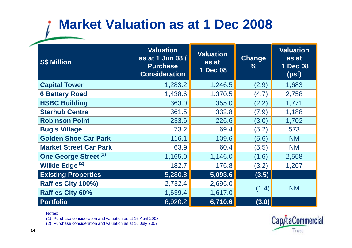### **Market Valuation as at 1 Dec 2008**

| <b>S\$ Million</b>               | <b>Valuation</b><br>as at 1 Jun 08 /<br><b>Purchase</b><br><b>Consideration</b> | <b>Valuation</b><br>as at<br>1 Dec 08 | <b>Change</b><br>$\%$ | <b>Valuation</b><br>as at<br>1 Dec 08<br>(psf) |
|----------------------------------|---------------------------------------------------------------------------------|---------------------------------------|-----------------------|------------------------------------------------|
| <b>Capital Tower</b>             | 1,283.2                                                                         | 1,246.5                               | (2.9)                 | 1,683                                          |
| <b>6 Battery Road</b>            | 1,438.6                                                                         | 1,370.5                               | (4.7)                 | 2,758                                          |
| <b>HSBC Building</b>             | 363.0                                                                           | 355.0                                 | (2.2)                 | 1,771                                          |
| <b>Starhub Centre</b>            | 361.5                                                                           | 332.8                                 | (7.9)                 | 1,188                                          |
| <b>Robinson Point</b>            | 233.6                                                                           | 226.6                                 | (3.0)                 | 1,702                                          |
| <b>Bugis Village</b>             | 73.2                                                                            | 69.4                                  | (5.2)                 | 573                                            |
| <b>Golden Shoe Car Park</b>      | 116.1                                                                           | 109.6                                 | (5.6)                 | <b>NM</b>                                      |
| <b>Market Street Car Park</b>    | 63.9                                                                            | 60.4                                  | (5.5)                 | <b>NM</b>                                      |
| One George Street <sup>(1)</sup> | 1,165.0                                                                         | 1,146.0                               | (1.6)                 | 2,558                                          |
| Wilkie Edge <sup>(2)</sup>       | 182.7                                                                           | 176.8                                 | (3.2)                 | 1,267                                          |
| <b>Existing Properties</b>       | 5,280.8                                                                         | 5,093.6                               | (3.5)                 |                                                |
| Raffles City 100%)               | 2,732.4                                                                         | 2,695.0                               |                       | <b>NM</b>                                      |
| <b>Raffles City 60%</b>          | 1,639.4                                                                         | 1,617.0                               | (1.4)                 |                                                |
| <b>Portfolio</b>                 | 6,920.2                                                                         | 6,710.6                               | (3.0)                 |                                                |

Notes:

(1) Purchase consideration and valuation as at 16 April 2008

(2) Purchase consideration and valuation as at 16 July 2007

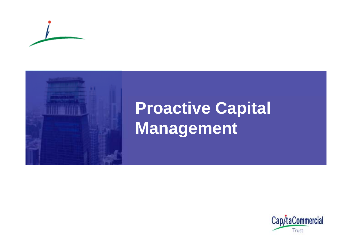



# **Proactive Capital M t anagemen**

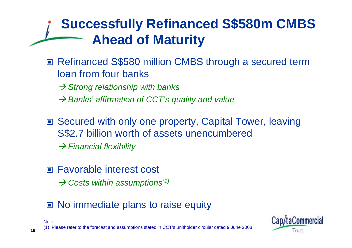### **Successfully Refinanced S\$580m CMBS Ahead of Maturity**

■ Refinanced S\$580 million CMBS through a secured term loan from four banks

**→ Strong relationship with banks** 

- → Banks' affirmation of CCT's quality and value
- Secured with only one property, Capital Tower, leaving S\$2.7 billion worth of assets unencumbered  $→$  **Financial flexibility**
- Favorable interest cost
	- → Costs within assumptions<sup>(1)</sup>
- No immediate plans to raise equity



(1) Please refer to the forecast and assumptions stated in CCT's unitholder circular dated 9 June 2008

Note: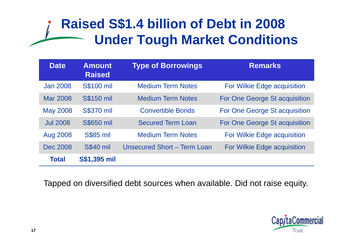#### **Raised S\$1.4 billion of Debt in 2008 Under Tough Market Conditions**

| <b>Date</b>     | <b>Amount</b><br><b>Raised</b> | <b>Type of Borrowings</b>          | <b>Remarks</b>                |
|-----------------|--------------------------------|------------------------------------|-------------------------------|
| <b>Jan 2008</b> | <b>S\$100 mil</b>              | <b>Medium Term Notes</b>           | For Wilkie Edge acquisition   |
| Mar 2008        | <b>S\$150 mil</b>              | <b>Medium Term Notes</b>           | For One George St acquisition |
| <b>May 2008</b> | <b>S\$370 mil</b>              | <b>Convertible Bonds</b>           | For One George St acquisition |
| <b>Jul 2008</b> | <b>S\$650 mil</b>              | <b>Secured Term Loan</b>           | For One George St acquisition |
| <b>Aug 2008</b> | <b>S\$85 mil</b>               | <b>Medium Term Notes</b>           | For Wilkie Edge acquisition   |
| Dec 2008        | <b>S\$40 mil</b>               | <b>Unsecured Short - Term Loan</b> | For Wilkie Edge acquisition   |
| <b>Total</b>    | <b>S\$1,395 mil</b>            |                                    |                               |

Tapped on diversified debt sources when available. Did not raise equity.

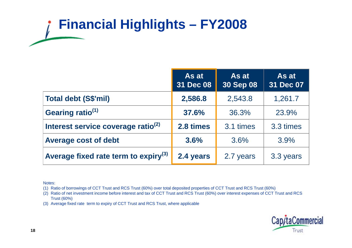# **Financial Highlights – FY2008**

|                                                  | As at<br>31 Dec 08 | As at<br><b>30 Sep 08</b> | As at<br>31 Dec 07 |
|--------------------------------------------------|--------------------|---------------------------|--------------------|
| <b>Total debt (S\$'mil)</b>                      | 2,586.8            | 2,543.8                   | 1,261.7            |
| Gearing ratio <sup>(1)</sup>                     | 37.6%              | 36.3%                     | 23.9%              |
| Interest service coverage ratio <sup>(2)</sup>   | 2.8 times          | 3.1 times                 | 3.3 times          |
| <b>Average cost of debt</b>                      | 3.6%               | 3.6%                      | 3.9%               |
| Average fixed rate term to expiry <sup>(3)</sup> | 2.4 years          | 2.7 years                 | 3.3 years          |

Notes:

(1) Ratio of borrowings of CCT Trust and RCS Trust (60%) over total deposited properties of CCT Trust and RCS Trust (60%)

(2) Ratio of net investment income before interest and tax of CCT Trust and RCS Trust (60%) over interest expenses of CCT Trust and RCS Trust (60%)

(3) Average fixed rate term to expiry of CCT Trust and RCS Trust, where applicable

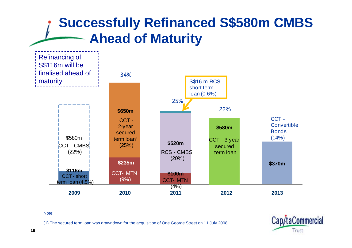#### **Successfully Refinanced S\$580m CMBS Ahead of Maturity**



#### Note:

(1) The secured term loan was drawndown for the acquisition of One George Street on 11 July 2008.

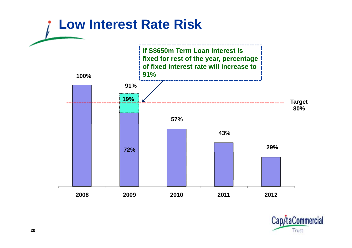

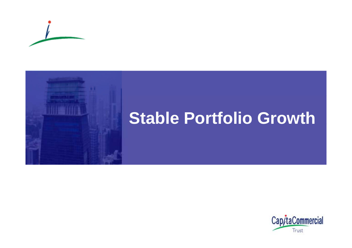



### **Stab e o t o o G o t le Portfolio Growth**

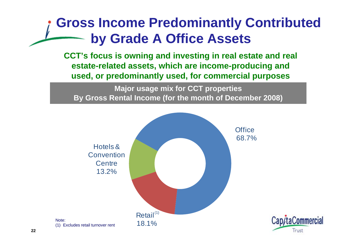#### **Gross Income Predominantly Contributed by Grade A Office Assets**

**CCT's focus is owning and investing in real estate and real estate -related assets, which are income related -producing and producing used, or predominantly used, for commercial purposes**

**Major usage mix for CCT properties** By Gross Rental Income (for the month of December 2008)

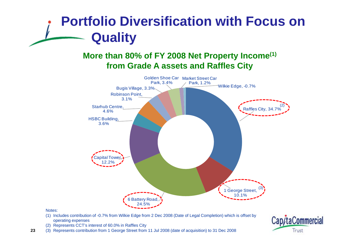### **Portfolio Diversification with Focus on Quality**

#### **More than 80% of FY 2008 Net Property Income(1) from Grade A assets and Raffles City A**



#### Notes:

- (1) Includes contribution of -0.7% from Wilkie Edge from 2 Dec 2008 (Date of Legal Completion) which is offset by operating expenses
- (2) Represents CCT's interest of 60.0% in Raffles City
- **23**(3) Represents contribution from 1 George Street from 11 Jul 2008 (date of acquisition) to 31 Dec 2008

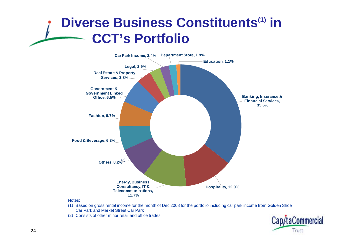#### **Diverse Business Constituents(1) in CCT s' Portfolio**



(1) Based on gross rental income for the month of Dec 2008 for the portfolio including car park income from Golden Shoe Car Park and Market Street Car Park

(2) Consists of other minor retail and office trades

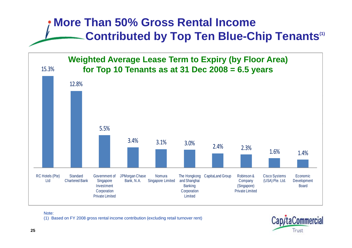#### **More Than 50% Gross Rental IncomeContributed by Top Ten Blue -Chip Tenants(1) Chip Tenants**



#### Note:

(1) Based on FY 2008 gross rental income contribution (excluding retail turnover rent)

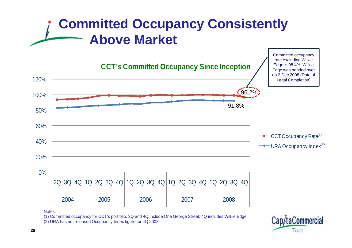#### **Committed Occupancy Consistently Above Market**



Notes:

(1) Committed occupancy for CCT's portfolio. 3Q and 4Q include One George Street; 4Q includes Wilkie Edge

(2) URA has not released Occupancy Index figure for 4Q 2008



Committed occupancy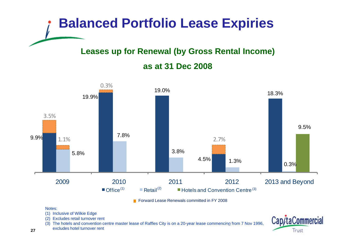

#### **Leases up for Renewal (by Gross Rental Income)**

#### **as at 31 Dec 2008**\_\_\_\_\_\_\_\_



**Forward Lease Renewals committed in FY 2008** 

#### Notes:

- (1) Inclusive of Wilkie Edge
- (2) Excludes retail turnover rent
- (3) The hotels and convention centre master lease of Raffles City is on a 20-year lease commencing from 7 Nov 1996,<br>excludes hotel turnover rent
- excludes hotel turnover rent

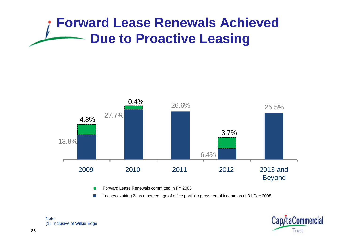### **Forward Lease Renewals Achieved Due to Proactive Leasing**



Forward Lease Renewals committed in FY 2008

Leases expiring (1) as a percentage of office portfolio gross rental income as at 31 Dec 2008



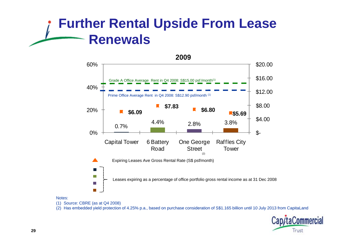#### **Further Rental Upside From Lease Renewals**



#### Notes:

(1) Source: CBRE (as at Q4 2008)

(2) Has embedded yield protection of 4.25% p.a., based on purchase consideration of S\$1.165 billion until 10 July 2013 from CapitaLand

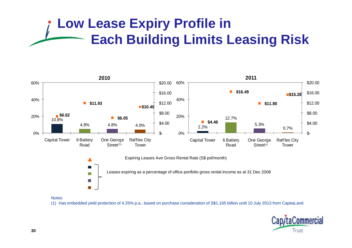### **Low Lease Expiry Profile in Each Building Limits Leasing Risk**



Notes:

**T** 

(1) Has embedded yield protection of 4.25% p.a., based on purchase consideration of S\$1.165 billion until 10 July 2013 from CapitaLand

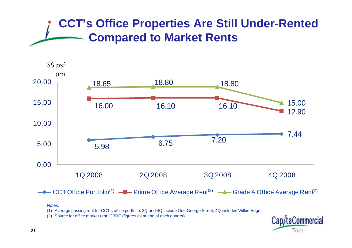#### **CCT's Office Properties Are Still Under-Rented Compared to Market Rents**



#### Notes:

(1) Average passing rent for CCT's office portfolio. 3Q and 4Q include One George Street; 4Q includes Wilkie Edge

(2) Source for office market rent: CBRE (figures as at end of each quarter)

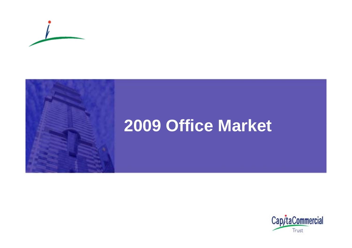

# **Office Market**

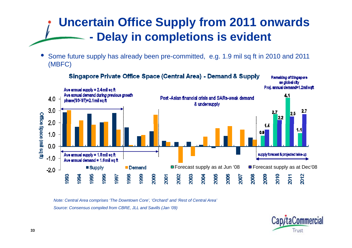#### **Uncertain Office Supply from 2011 onwards Delay in completions is evident**

• Some future supply has already been pre-committed, e.g. 1.9 mil sq ft in 2010 and 2011 (MBFC)



*Note: Central Area comprises 'The Downtown Core', 'Orchard' and 'Rest of Central Area'* Source: Consensus compiled from CBRE, JLL and Savills (Jan '09)

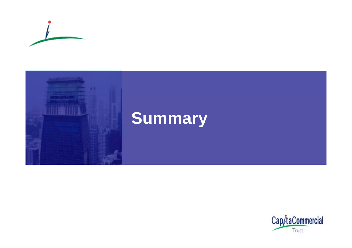



# **Summary**

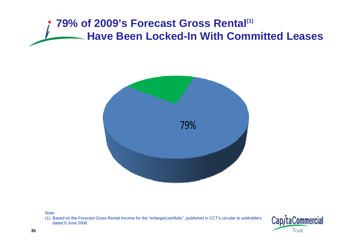#### **79% of 2009's Forecast Gross Rental<sup>(1)</sup> Have Been Locked -In With Committed Leases In Leases**



Note:

(1) Based on the Forecast Gross Rental Income for the "enlarged portfolio", published in CCT's circular to unitholders dated 9 June 2008

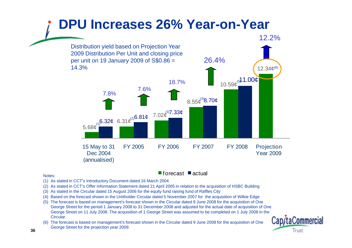#### **DPU Increases 26% Year-on-Year** 12.2% $\sim$  (12.34 $\phi^{(6)}$ ) 26.4%Distribution yield based on Projection Year 2009 Distribution Per Unit and closing price per unit on 19 January 2009 of S\$0.86 = 14.3%  $18.7\%$  12.34<br> $10.59e^{5}$  1.00¢ 7.6%7.8%6.31 ¢ 7.02¢  $8.55\phi^{(4)}$  $8.70\phi$ 6.32 ¢ 6.81¢  $7.02\phi^{(3)}$ 7.33¢ (1) (2) (3) 5.68¢ 15 May to 31 Dec 2004 FY 2005 FY 2006 FY 2007 FY 2008 Projection Year 2009 (annualised) Year<br>forecast ■actual

- Notes: Notes: Notes: Notes: Notes: Notes: Notes: Notes: Notes: Notes: Notes: Notes: Notes: Notes: Notes: Notes
- (1) As stated in CCT's Introductory Document dated 16 March 2004
- (2) As stated in CCT's Offer Information Statement dated 21 April 2005 in relation to the acquisition of HSBC Building
- (3) As stated in the Circular dated 15 August 2006 for the equity fund raising fund of Raffles City
- (4) Based on the forecast shown in the Unitholder Circular dated 5 November 2007 for the acquisition of Wilkie Edge
- (5) The forecast is based on management's forecast shown in the Circular dated 9 June 2008 for the acquisition of One George Street for the period 1 January 2008 to 31 December 2008 and adjusted for the actual date of acquisition of One of George Street on 11 July 2008. The acquisition of 1 George Street was assumed to be completed on 1 July 2008 in the Circular.
- (6) The forecast is based on management's forecast shown in the Circular dated 9 June 2008 for the acquisition of One George Street for the projection year 2009.

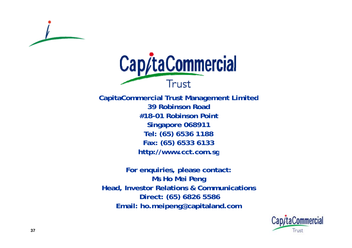



CapitaCommercial Trust Management Limited **39 Robinson Road#18-01 Robinson PointSingapore 068911 Tel: (65) 6536 1188 Fax: (65) 6533 6133 http://www cct com sg http://www.cct.com.sg**

**For enquiries, please contact: Ms Ho Mei Peng Head, Investor Relations & Communications Direct: (65) 6826 5586 Email: ho.mei peng@ca pitaland.com : . p g@ p .**

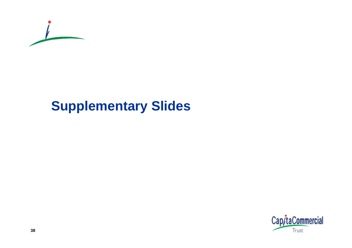

#### **Supplementary Slides**

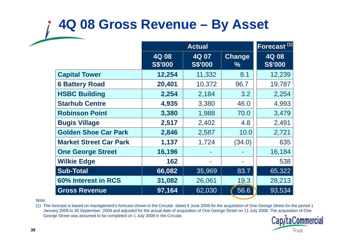#### **4Q 08 Gross Revenue – By Asset**

|                               |                         | <b>Actual</b>           |                |                         |
|-------------------------------|-------------------------|-------------------------|----------------|-------------------------|
|                               | 4Q 08<br><b>S\$'000</b> | 4Q 07<br><b>S\$'000</b> | Change<br>$\%$ | 4Q 08<br><b>S\$'000</b> |
| <b>Capital Tower</b>          | 12,254                  | 11,332                  | 8.1            | 12,239                  |
| <b>6 Battery Road</b>         | 20,401                  | 10,372                  | 96.7           | 19,787                  |
| <b>HSBC Building</b>          | 2,254                   | 2,184                   | 3.2            | 2,254                   |
| <b>Starhub Centre</b>         | 4,935                   | 3,380                   | 46.0           | 4,993                   |
| <b>Robinson Point</b>         | 3,380                   | 1,988                   | 70.0           | 3,479                   |
| <b>Bugis Village</b>          | 2,517                   | 2,402                   | 4.8            | 2,491                   |
| <b>Golden Shoe Car Park</b>   | 2,846                   | 2,587                   | 10.0           | 2,721                   |
| <b>Market Street Car Park</b> | 1,137                   | 1,724                   | (34.0)         | 635                     |
| <b>One George Street</b>      | 16,196                  |                         |                | 16,184                  |
| <b>Wilkie Edge</b>            | 162                     |                         |                | 538                     |
| <b>Sub-Total</b>              | 66,082                  | 35,969                  | 83.7           | 65,322                  |
| 60% Interest in RCS           | 31,082                  | 26,061                  | 19.3           | 28,213                  |
| <b>Gross Revenue</b>          | 97,164                  | 62,030                  | 56.6           | 93,534                  |

Note:

(1) The forecast is based on management's forecast shown in the Circular dated 9 June 2008 for the acquisition of One George Street for the period 1 January 2008 to 30 September 2008 and adjusted for the actual date of acquisition of One George Street on 11 July 2008. The acquisition of One George Street was assumed to be completed on 1 July 2008 in the Circular.